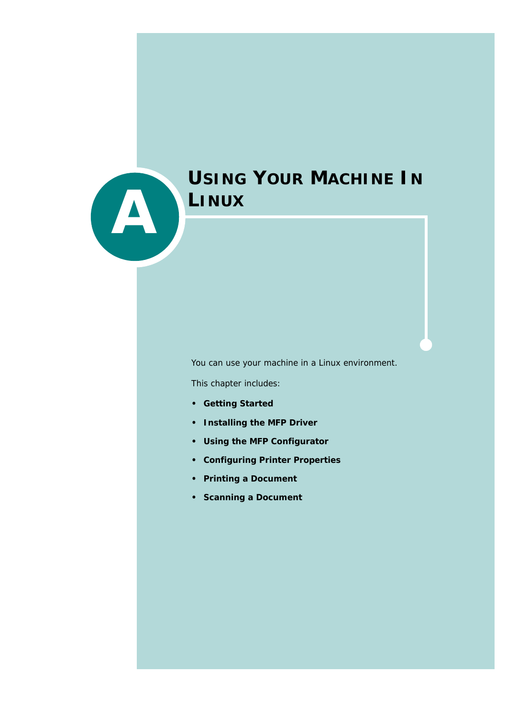

# **USING YOUR MACHINE IN LINUX**

You can use your machine in a Linux environment.

This chapter includes:

- **• [Getting Started](#page-1-0)**
- **• [Installing the MFP Driver](#page-2-0)**
- **• [Using the MFP Configurator](#page-6-0)**
- **• [Configuring Printer Properties](#page-10-0)**
- **• [Printing a Document](#page-11-0)**
- **• [Scanning a Document](#page-13-0)**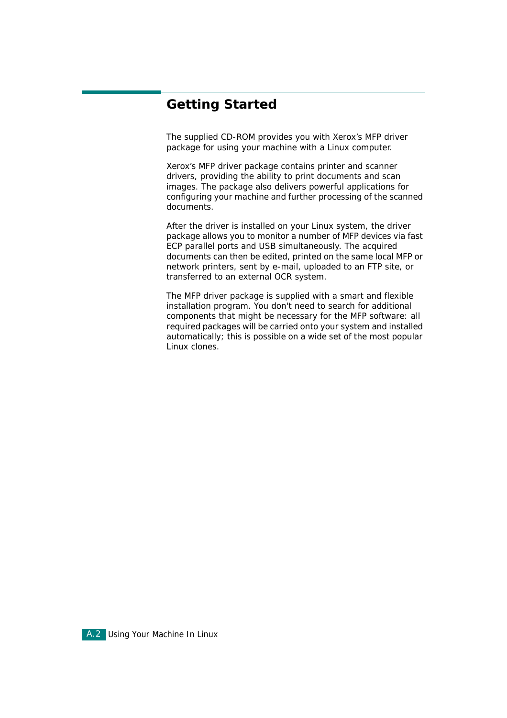# <span id="page-1-0"></span>**Getting Started**

The supplied CD-ROM provides you with Xerox's MFP driver package for using your machine with a Linux computer.

Xerox's MFP driver package contains printer and scanner drivers, providing the ability to print documents and scan images. The package also delivers powerful applications for configuring your machine and further processing of the scanned documents.

After the driver is installed on your Linux system, the driver package allows you to monitor a number of MFP devices via fast ECP parallel ports and USB simultaneously. The acquired documents can then be edited, printed on the same local MFP or network printers, sent by e-mail, uploaded to an FTP site, or transferred to an external OCR system.

The MFP driver package is supplied with a smart and flexible installation program. You don't need to search for additional components that might be necessary for the MFP software: all required packages will be carried onto your system and installed automatically; this is possible on a wide set of the most popular Linux clones.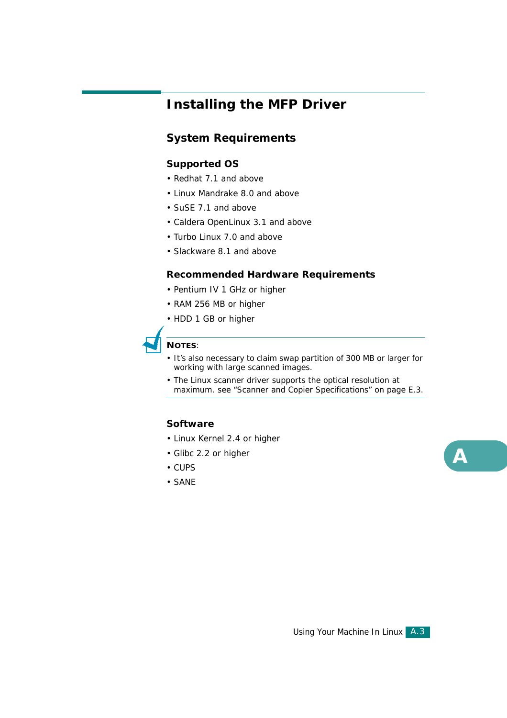# <span id="page-2-0"></span>**Installing the MFP Driver**

### **System Requirements**

#### **Supported OS**

- Redhat 7.1 and above
- Linux Mandrake 8.0 and above
- SuSE 7.1 and above
- Caldera OpenLinux 3.1 and above
- Turbo Linux 7.0 and above
- Slackware 8.1 and above

#### **Recommended Hardware Requirements**

- Pentium IV 1 GHz or higher
- RAM 256 MB or higher
- HDD 1 GB or higher



#### **NOTES**:

- It's also necessary to claim swap partition of 300 MB or larger for working with large scanned images.
- The Linux scanner driver supports the optical resolution at maximum. [see "Scanner and Copier Specifications" on page E.3.](#page--1-0)

#### **Software**

- Linux Kernel 2.4 or higher
- Glibc 2.2 or higher
- CUPS
- SANE

*A*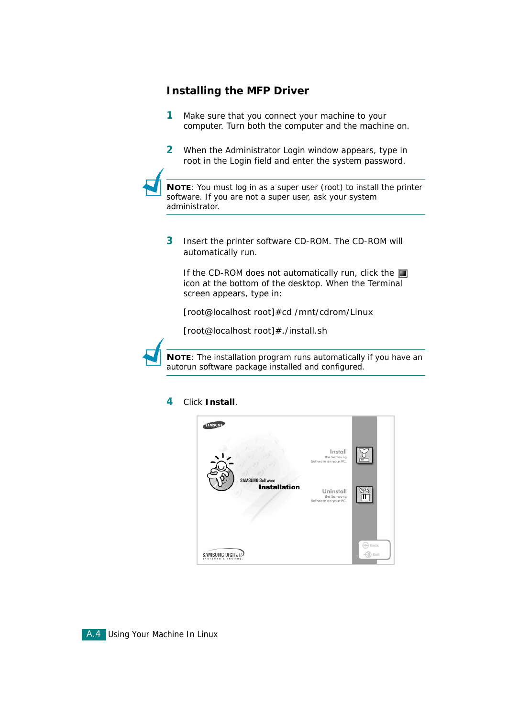### **Installing the MFP Driver**

- **1** Make sure that you connect your machine to your computer. Turn both the computer and the machine on.
- **2** When the Administrator Login window appears, type in *root* in the Login field and enter the system password.

**NOTE**: You must log in as a super user (root) to install the printer software. If you are not a super user, ask your system administrator.

**3** Insert the printer software CD-ROM. The CD-ROM will automatically run.

If the CD-ROM does not automatically run, click the  $\blacksquare$ icon at the bottom of the desktop. When the Terminal screen appears, type in:

*[root@localhost root]#cd /mnt/cdrom/Linux*

*[root@localhost root]#./install.sh*



**NOTE**: The installation program runs automatically if you have an autorun software package installed and configured.

#### **4** Click **Install**.

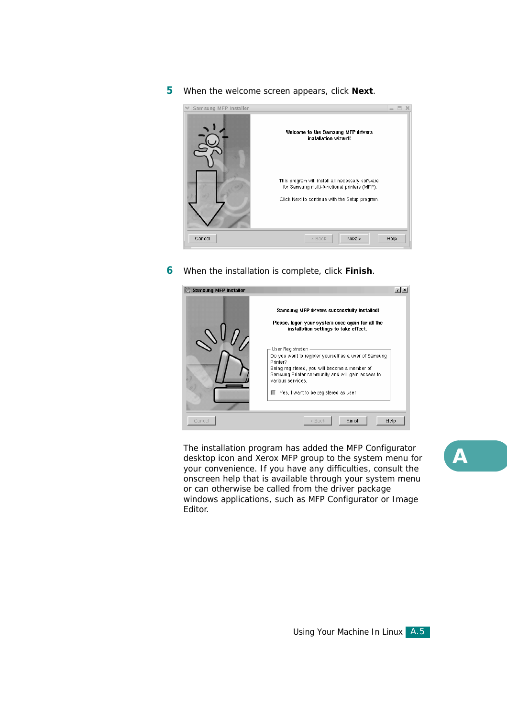#### **5** When the welcome screen appears, click **Next**.



**6** When the installation is complete, click **Finish**.



The installation program has added the MFP Configurator desktop icon and Xerox MFP group to the system menu for your convenience. If you have any difficulties, consult the onscreen help that is available through your system menu or can otherwise be called from the driver package windows applications, such as MFP Configurator or Image Editor.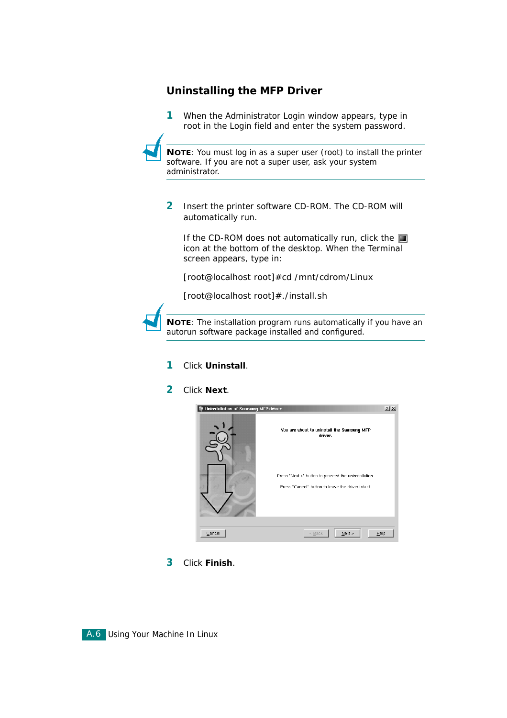### **Uninstalling the MFP Driver**

**1** When the Administrator Login window appears, type in *root* in the Login field and enter the system password.

**NOTE**: You must log in as a super user (root) to install the printer software. If you are not a super user, ask your system administrator.

**2** Insert the printer software CD-ROM. The CD-ROM will automatically run.

If the CD-ROM does not automatically run, click the  $\blacksquare$ icon at the bottom of the desktop. When the Terminal screen appears, type in:

*[root@localhost root]#cd /mnt/cdrom/Linux*

*[root@localhost root]#./install.sh*



**NOTE**: The installation program runs automatically if you have an autorun software package installed and configured.

- **1** Click **Uninstall**.
- **2** Click **Next**.



**3** Click **Finish**.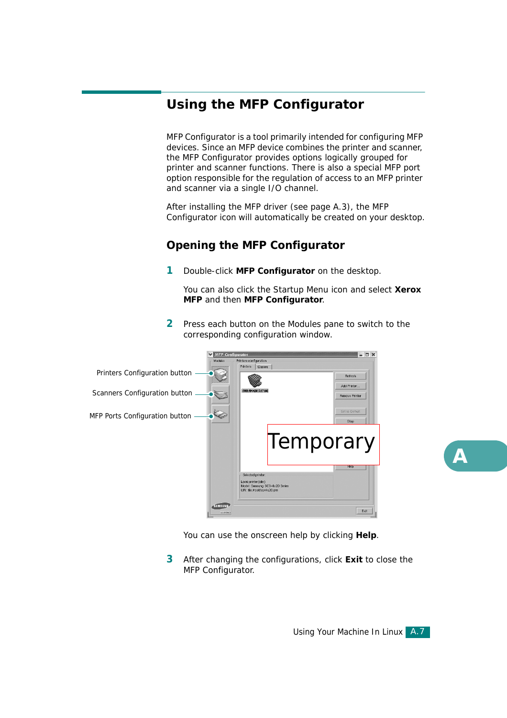# <span id="page-6-0"></span>**Using the MFP Configurator**

MFP Configurator is a tool primarily intended for configuring MFP devices. Since an MFP device combines the printer and scanner, the MFP Configurator provides options logically grouped for printer and scanner functions. There is also a special MFP port option responsible for the regulation of access to an MFP printer and scanner via a single I/O channel.

After installing the MFP driver (see [page A.3](#page-2-0)), the MFP Configurator icon will automatically be created on your desktop.

### **Opening the MFP Configurator**

**1** Double-click **MFP Configurator** on the desktop.

You can also click the Startup Menu icon and select **Xerox MFP** and then **MFP Configurator**.

**2** Press each button on the Modules pane to switch to the corresponding configuration window.



You can use the onscreen help by clicking **Help**.

**3** After changing the configurations, click **Exit** to close the MFP Configurator.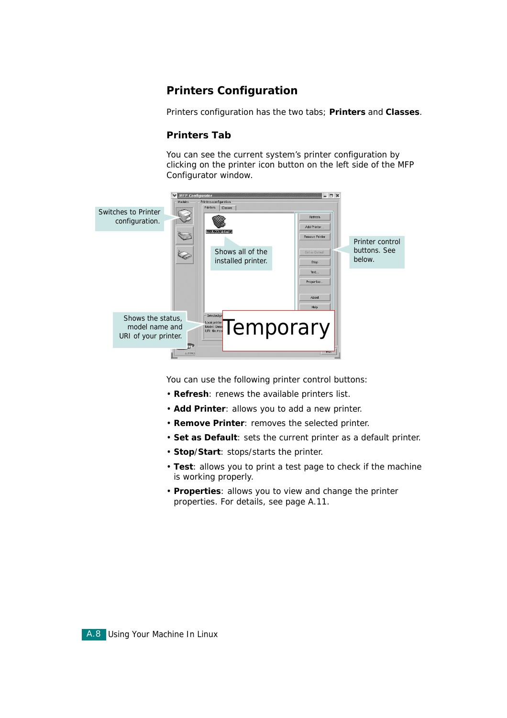### **Printers Configuration**

Printers configuration has the two tabs; **Printers** and **Classes**.

#### **Printers Tab**

You can see the current system's printer configuration by clicking on the printer icon button on the left side of the MFP Configurator window.



You can use the following printer control buttons:

- **Refresh**: renews the available printers list.
- **Add Printer**: allows you to add a new printer.
- **Remove Printer**: removes the selected printer.
- **Set as Default**: sets the current printer as a default printer.
- **Stop**/**Start**: stops/starts the printer.
- **Test**: allows you to print a test page to check if the machine is working properly.
- **Properties**: allows you to view and change the printer properties. For details, see [page A.11.](#page-10-0)

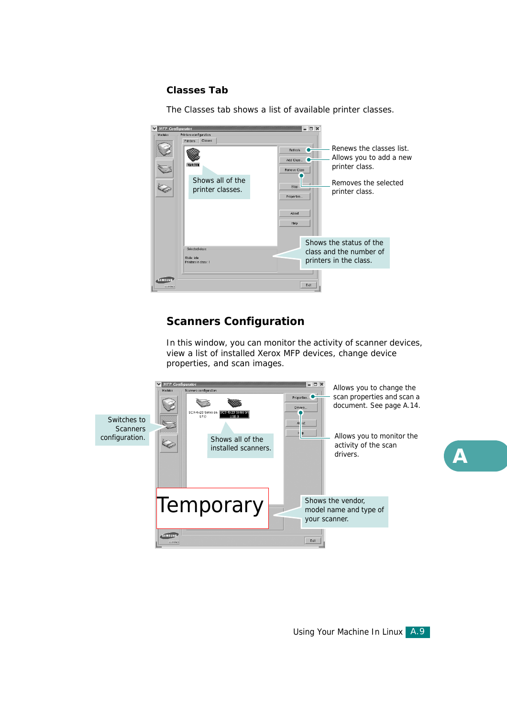#### **Classes Tab**

The Classes tab shows a list of available printer classes.

| <b>MFP</b> Configurator<br>Modules | Printers configuration<br>Classes<br>Printers<br><b>EXTORES</b><br>Shows all of the<br>printer classes. | EX<br>Refresh<br>Add Class<br>Remove Class<br>Stop<br>Properties<br>About<br>Help | Renews the classes list<br>Allows you to add a new<br>printer class.<br>Removes the selected<br>printer class. |
|------------------------------------|---------------------------------------------------------------------------------------------------------|-----------------------------------------------------------------------------------|----------------------------------------------------------------------------------------------------------------|
|                                    | Selected class:<br>State: idle<br>Printers in class: 1                                                  |                                                                                   | Shows the status of the<br>class and the number of<br>printers in the class.                                   |
| <b>SAMSUNG</b><br>ELECTRIMICS      |                                                                                                         | Exit                                                                              |                                                                                                                |

### **Scanners Configuration**

In this window, you can monitor the activity of scanner devices, view a list of installed Xerox MFP devices, change device properties, and scan images.

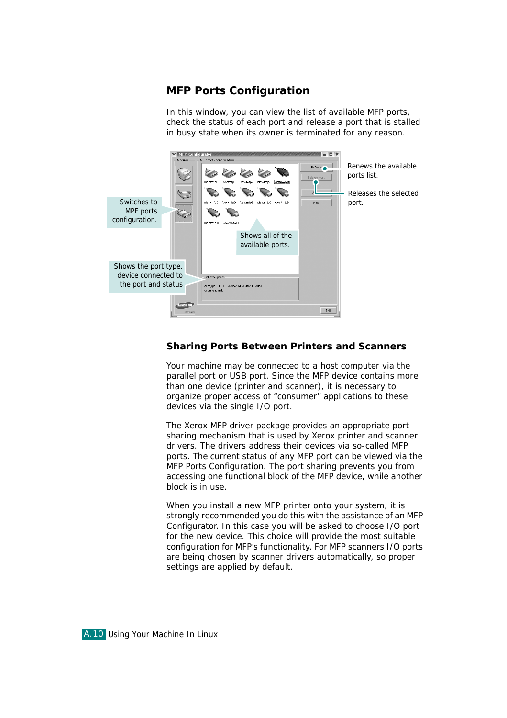### **MFP Ports Configuration**

In this window, you can view the list of available MFP ports, check the status of each port and release a port that is stalled in busy state when its owner is terminated for any reason.



#### **Sharing Ports Between Printers and Scanners**

Your machine may be connected to a host computer via the parallel port or USB port. Since the MFP device contains more than one device (printer and scanner), it is necessary to organize proper access of "consumer" applications to these devices via the single I/O port.

The Xerox MFP driver package provides an appropriate port sharing mechanism that is used by Xerox printer and scanner drivers. The drivers address their devices via so-called MFP ports. The current status of any MFP port can be viewed via the MFP Ports Configuration. The port sharing prevents you from accessing one functional block of the MFP device, while another block is in use.

When you install a new MFP printer onto your system, it is strongly recommended you do this with the assistance of an MFP Configurator. In this case you will be asked to choose I/O port for the new device. This choice will provide the most suitable configuration for MFP's functionality. For MFP scanners I/O ports are being chosen by scanner drivers automatically, so proper settings are applied by default.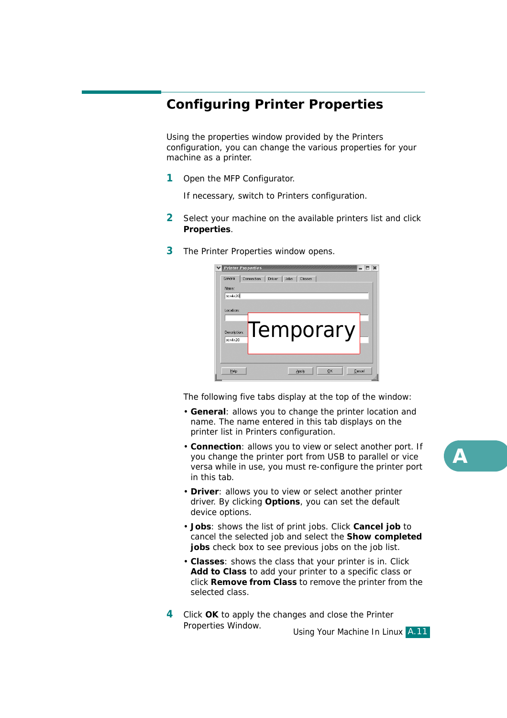# <span id="page-10-0"></span>**Configuring Printer Properties**

Using the properties window provided by the Printers configuration, you can change the various properties for your machine as a printer.

**1** Open the MFP Configurator.

If necessary, switch to Printers configuration.

- **2** Select your machine on the available printers list and click **Properties**.
- **3** The Printer Properties window opens.

| <b>Printer Properties</b><br>General | $\mathbf{x}$<br>Driver<br>Connection<br>Jobs<br>Classes |
|--------------------------------------|---------------------------------------------------------|
| Name:<br>scx4x20                     |                                                         |
| Location:                            |                                                         |
| Description:<br>scx4x20              | Temporary                                               |
| Help                                 | Cancel<br><b>OK</b><br>Apply                            |

The following five tabs display at the top of the window:

- **General**: allows you to change the printer location and name. The name entered in this tab displays on the printer list in Printers configuration.
- **Connection**: allows you to view or select another port. If you change the printer port from USB to parallel or vice versa while in use, you must re-configure the printer port in this tab.
- **Driver**: allows you to view or select another printer driver. By clicking **Options**, you can set the default device options.
- **Jobs**: shows the list of print jobs. Click **Cancel job** to cancel the selected job and select the **Show completed jobs** check box to see previous jobs on the job list.
- **Classes**: shows the class that your printer is in. Click **Add to Class** to add your printer to a specific class or click **Remove from Class** to remove the printer from the selected class.
- **4** Click **OK** to apply the changes and close the Printer Properties Window.

Using Your Machine In Linux A.11

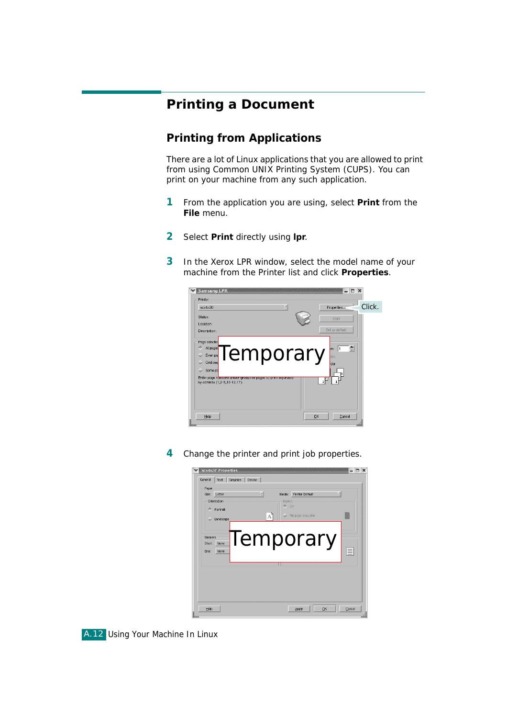# <span id="page-11-0"></span>**Printing a Document**

### **Printing from Applications**

There are a lot of Linux applications that you are allowed to print from using Common UNIX Printing System (CUPS). You can print on your machine from any such application.

- **1** From the application you are using, select **Print** from the **File** menu.
- **2** Select **Print** directly using **lpr**.
- **3** In the Xerox LPR window, select the model name of your machine from the Printer list and click **Properties**.



<span id="page-11-1"></span>**4** Change the printer and print job properties.

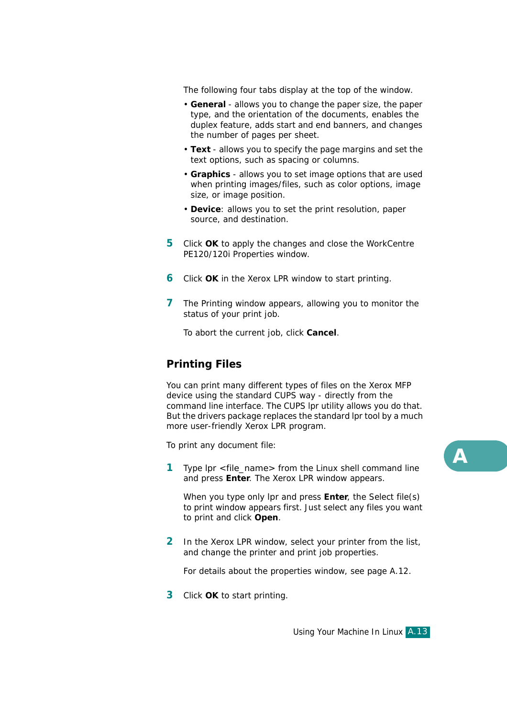The following four tabs display at the top of the window.

- **General** allows you to change the paper size, the paper type, and the orientation of the documents, enables the duplex feature, adds start and end banners, and changes the number of pages per sheet.
- **Text** allows you to specify the page margins and set the text options, such as spacing or columns.
- **Graphics** allows you to set image options that are used when printing images/files, such as color options, image size, or image position.
- **Device**: allows you to set the print resolution, paper source, and destination.
- **5** Click **OK** to apply the changes and close the WorkCentre PE120/120i Properties window.
- **6** Click **OK** in the Xerox LPR window to start printing.
- **7** The Printing window appears, allowing you to monitor the status of your print job.

To abort the current job, click **Cancel**.

### **Printing Files**

You can print many different types of files on the Xerox MFP device using the standard CUPS way - directly from the command line interface. The CUPS lpr utility allows you do that. But the drivers package replaces the standard lpr tool by a much more user-friendly Xerox LPR program.

To print any document file:

**1** Type *lpr <file\_name>* from the Linux shell command line and press **Enter**. The Xerox LPR window appears.

When you type only *lpr* and press **Enter**, the Select file(s) to print window appears first. Just select any files you want to print and click **Open**.

**2** In the Xerox LPR window, select your printer from the list, and change the printer and print job properties.

For details about the properties window, see [page A.12](#page-11-1).

**3** Click **OK** to start printing.

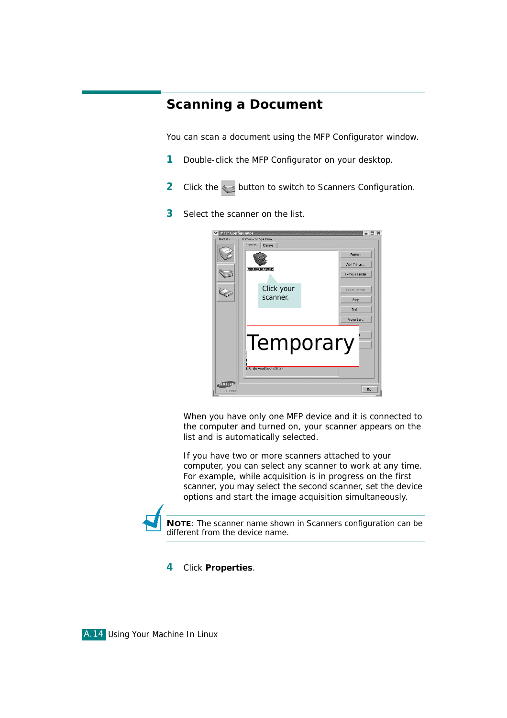# <span id="page-13-0"></span>**Scanning a Document**

You can scan a document using the MFP Configurator window.

- **1** Double-click the MFP Configurator on your desktop.
- **2** Click the button to switch to Scanners Configuration.
- **3** Select the scanner on the list.



When you have only one MFP device and it is connected to the computer and turned on, your scanner appears on the list and is automatically selected.

If you have two or more scanners attached to your computer, you can select any scanner to work at any time. For example, while acquisition is in progress on the first scanner, you may select the second scanner, set the device options and start the image acquisition simultaneously.



**NOTE**: The scanner name shown in Scanners configuration can be different from the device name.

**4** Click **Properties**.

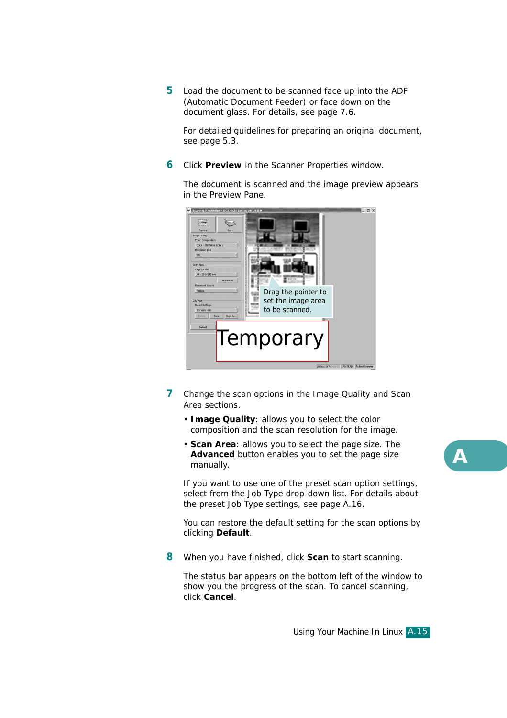**5** Load the document to be scanned face up into the ADF (Automatic Document Feeder) or face down on the document glass. For details, see [page 7.6.](#page--1-1)

For detailed guidelines for preparing an original document, see [page 5.3.](#page--1-2)

**6** Click **Preview** in the Scanner Properties window.

The document is scanned and the image preview appears in the Preview Pane.



- **7** Change the scan options in the Image Quality and Scan Area sections.
	- **Image Quality**: allows you to select the color composition and the scan resolution for the image.
	- **Scan Area**: allows you to select the page size. The **Advanced** button enables you to set the page size manually.

If you want to use one of the preset scan option settings, select from the Job Type drop-down list. For details about the preset Job Type settings, see [page A.16.](#page-15-0)

You can restore the default setting for the scan options by clicking **Default**.

**8** When you have finished, click **Scan** to start scanning.

The status bar appears on the bottom left of the window to show you the progress of the scan. To cancel scanning, click **Cancel**.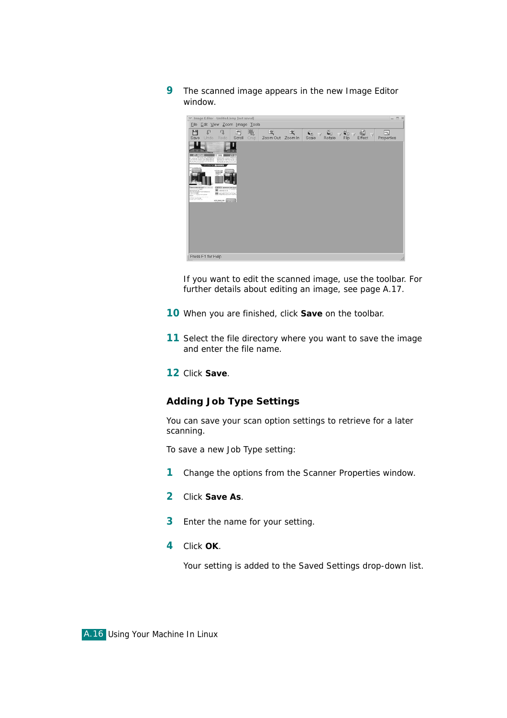**9** The scanned image appears in the new Image Editor window.



If you want to edit the scanned image, use the toolbar. For further details about editing an image, see [page A.17](#page-16-0).

- **10** When you are finished, click **Save** on the toolbar.
- **11** Select the file directory where you want to save the image and enter the file name.

**12** Click **Save**.

#### <span id="page-15-0"></span>**Adding Job Type Settings**

You can save your scan option settings to retrieve for a later scanning.

To save a new Job Type setting:

- **1** Change the options from the Scanner Properties window.
- **2** Click **Save As**.
- **3** Enter the name for your setting.
- **4** Click **OK**.

Your setting is added to the Saved Settings drop-down list.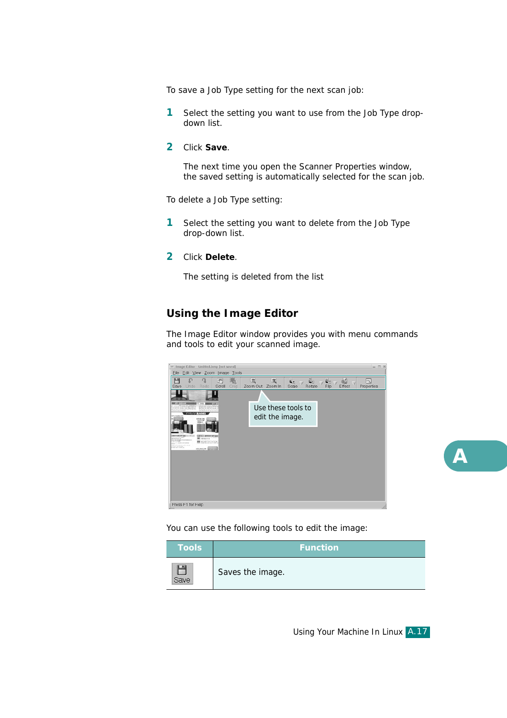To save a Job Type setting for the next scan job:

- **1** Select the setting you want to use from the Job Type dropdown list.
- **2** Click **Save**.

The next time you open the Scanner Properties window, the saved setting is automatically selected for the scan job.

To delete a Job Type setting:

- **1** Select the setting you want to delete from the Job Type drop-down list.
- **2** Click **Delete**.

The setting is deleted from the list

#### <span id="page-16-0"></span>**Using the Image Editor**

The Image Editor window provides you with menu commands and tools to edit your scanned image.



You can use the following tools to edit the image:



*A*